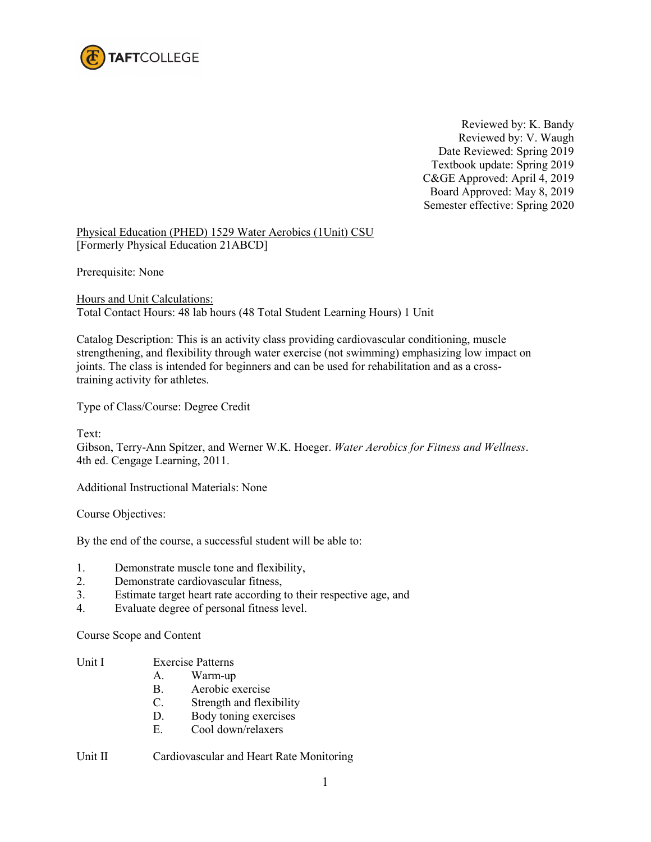

Reviewed by: K. Bandy Reviewed by: V. Waugh Date Reviewed: Spring 2019 Textbook update: Spring 2019 C&GE Approved: April 4, 2019 Board Approved: May 8, 2019 Semester effective: Spring 2020

Physical Education (PHED) 1529 Water Aerobics (1Unit) CSU [Formerly Physical Education 21ABCD]

Prerequisite: None

Hours and Unit Calculations: Total Contact Hours: 48 lab hours (48 Total Student Learning Hours) 1 Unit

Catalog Description: This is an activity class providing cardiovascular conditioning, muscle strengthening, and flexibility through water exercise (not swimming) emphasizing low impact on joints. The class is intended for beginners and can be used for rehabilitation and as a crosstraining activity for athletes.

Type of Class/Course: Degree Credit

Text:

Gibson, Terry-Ann Spitzer, and Werner W.K. Hoeger. *Water Aerobics for Fitness and Wellness*. 4th ed. Cengage Learning, 2011.

Additional Instructional Materials: None

Course Objectives:

By the end of the course, a successful student will be able to:

- 1. Demonstrate muscle tone and flexibility,
- 2. Demonstrate cardiovascular fitness,
- 3. Estimate target heart rate according to their respective age, and
- 4. Evaluate degree of personal fitness level.

Course Scope and Content

- Unit I Exercise Patterns
	- A. Warm-up
	- B. Aerobic exercise
	- C. Strength and flexibility
	- D. Body toning exercises
	- E. Cool down/relaxers

Unit II Cardiovascular and Heart Rate Monitoring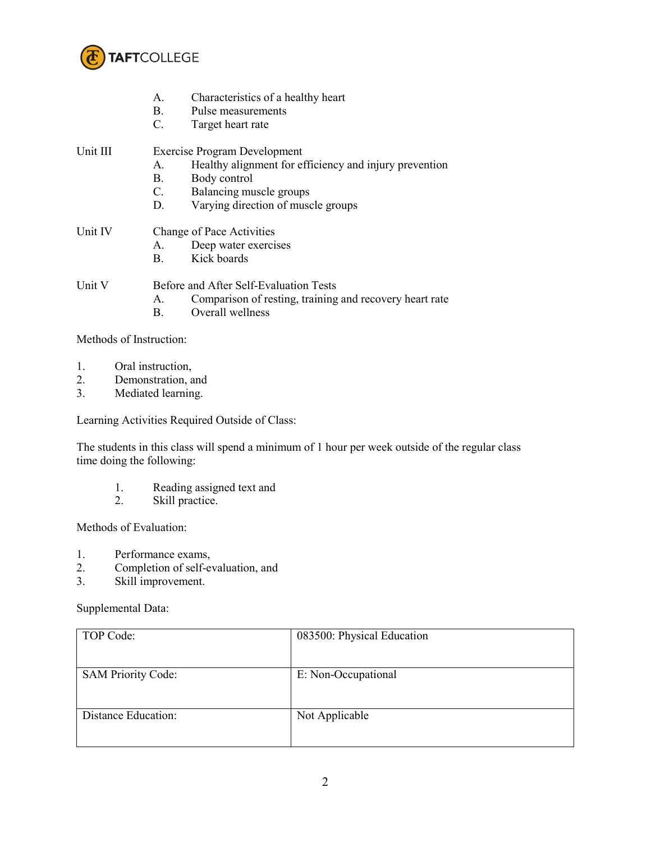

- A. Characteristics of a healthy heart
- B. Pulse measurements
- C. Target heart rate

Unit III Exercise Program Development

- A. Healthy alignment for efficiency and injury prevention
- B. Body control
- C. Balancing muscle groups
- D. Varying direction of muscle groups
- Unit IV Change of Pace Activities
	- A. Deep water exercises
	- B. Kick boards

Unit V Before and After Self-Evaluation Tests

- A. Comparison of resting, training and recovery heart rate
- B. Overall wellness

Methods of Instruction:

- 1. Oral instruction,
- 2. Demonstration, and
- 3. Mediated learning.

Learning Activities Required Outside of Class:

The students in this class will spend a minimum of 1 hour per week outside of the regular class time doing the following:

- 1. Reading assigned text and
- 2. Skill practice.

Methods of Evaluation:

- 1. Performance exams,
- 2. Completion of self-evaluation, and
- 3. Skill improvement.

Supplemental Data:

| TOP Code:                 | 083500: Physical Education |
|---------------------------|----------------------------|
| <b>SAM Priority Code:</b> | E: Non-Occupational        |
| Distance Education:       | Not Applicable             |